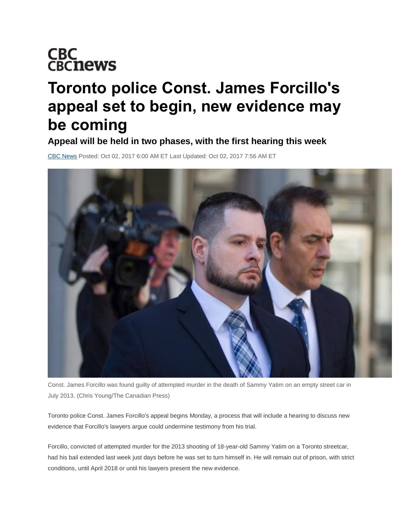## **CBC<br>CBCnews**

## **Toronto police Const. James Forcillo's appeal set to begin, new evidence may be coming**

**Appeal will be held in two phases, with the first hearing this week**

[CBC News](http://www.cbc.ca/news/cbc-news-online-news-staff-list-1.1294364) Posted: Oct 02, 2017 6:00 AM ET Last Updated: Oct 02, 2017 7:56 AM ET



Const. James Forcillo was found guilty of attempted murder in the death of Sammy Yatim on an empty street car in July 2013. (Chris Young/The Canadian Press)

Toronto police Const. James Forcillo's appeal begins Monday, a process that will include a hearing to discuss new evidence that Forcillo's lawyers argue could undermine testimony from his trial.

Forcillo, convicted of attempted murder for the 2013 shooting of 18-year-old Sammy Yatim on a Toronto streetcar, had his bail extended last week just days before he was set to turn himself in. He will remain out of prison, with strict conditions, until April 2018 or until his lawyers present the new evidence.